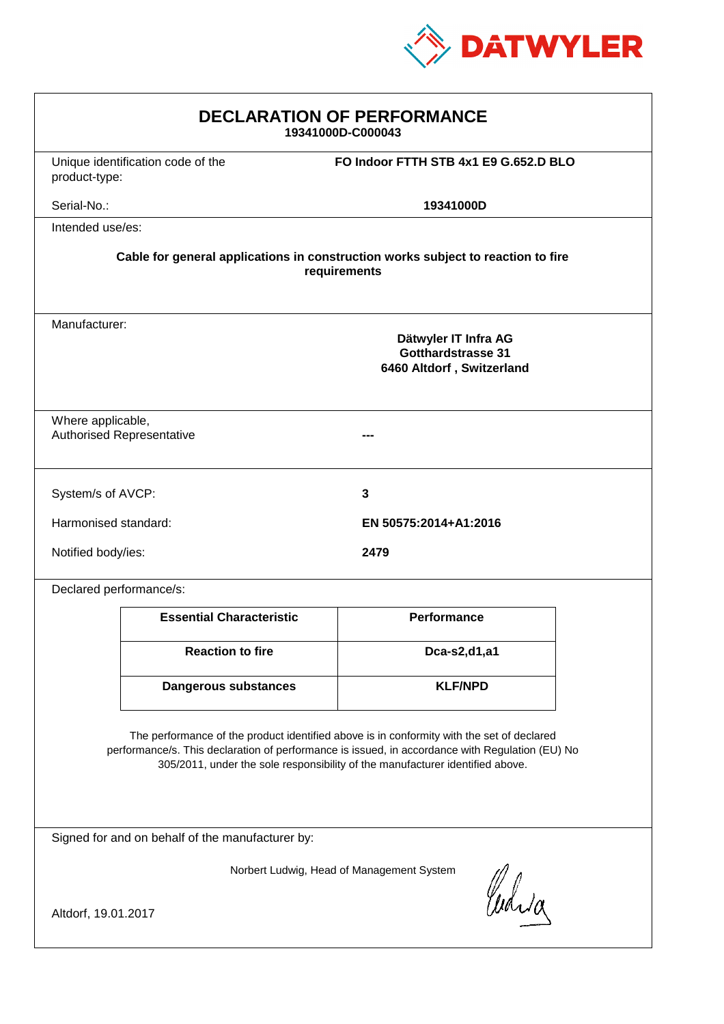

| <b>DECLARATION OF PERFORMANCE</b><br>19341000D-C000043                                                                                                                                                                                                                        |                                   |                                                                         |  |
|-------------------------------------------------------------------------------------------------------------------------------------------------------------------------------------------------------------------------------------------------------------------------------|-----------------------------------|-------------------------------------------------------------------------|--|
| product-type:                                                                                                                                                                                                                                                                 | Unique identification code of the | FO Indoor FTTH STB 4x1 E9 G.652.D BLO                                   |  |
| Serial-No.:                                                                                                                                                                                                                                                                   |                                   | 19341000D                                                               |  |
| Intended use/es:                                                                                                                                                                                                                                                              |                                   |                                                                         |  |
| Cable for general applications in construction works subject to reaction to fire<br>requirements                                                                                                                                                                              |                                   |                                                                         |  |
| Manufacturer:                                                                                                                                                                                                                                                                 |                                   | Dätwyler IT Infra AG<br>Gotthardstrasse 31<br>6460 Altdorf, Switzerland |  |
| Where applicable,<br><b>Authorised Representative</b>                                                                                                                                                                                                                         |                                   |                                                                         |  |
| System/s of AVCP:                                                                                                                                                                                                                                                             |                                   | 3                                                                       |  |
| Harmonised standard:                                                                                                                                                                                                                                                          |                                   | EN 50575:2014+A1:2016                                                   |  |
| Notified body/ies:                                                                                                                                                                                                                                                            |                                   | 2479                                                                    |  |
| Declared performance/s:                                                                                                                                                                                                                                                       |                                   |                                                                         |  |
|                                                                                                                                                                                                                                                                               | <b>Essential Characteristic</b>   | <b>Performance</b>                                                      |  |
|                                                                                                                                                                                                                                                                               | <b>Reaction to fire</b>           | Dca-s2,d1,a1                                                            |  |
|                                                                                                                                                                                                                                                                               | Dangerous substances              | <b>KLF/NPD</b>                                                          |  |
| The performance of the product identified above is in conformity with the set of declared<br>performance/s. This declaration of performance is issued, in accordance with Regulation (EU) No<br>305/2011, under the sole responsibility of the manufacturer identified above. |                                   |                                                                         |  |
| Signed for and on behalf of the manufacturer by:                                                                                                                                                                                                                              |                                   |                                                                         |  |
| Norbert Ludwig, Head of Management System                                                                                                                                                                                                                                     |                                   |                                                                         |  |
| Curig<br>Altdorf, 19.01.2017                                                                                                                                                                                                                                                  |                                   |                                                                         |  |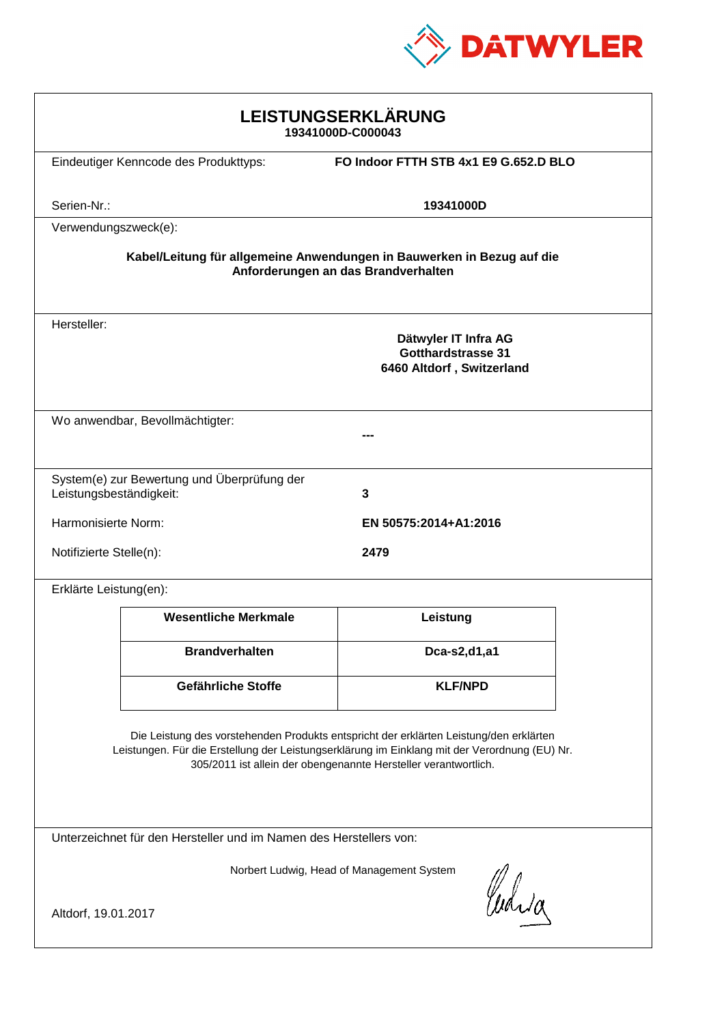

| LEISTUNGSERKLÄRUNG<br>19341000D-C000043                                                                                                                                                                                                                    |                                       |                                                                         |  |
|------------------------------------------------------------------------------------------------------------------------------------------------------------------------------------------------------------------------------------------------------------|---------------------------------------|-------------------------------------------------------------------------|--|
|                                                                                                                                                                                                                                                            | Eindeutiger Kenncode des Produkttyps: | FO Indoor FTTH STB 4x1 E9 G.652.D BLO                                   |  |
| Serien-Nr.:                                                                                                                                                                                                                                                |                                       | 19341000D                                                               |  |
| Verwendungszweck(e):                                                                                                                                                                                                                                       |                                       |                                                                         |  |
| Kabel/Leitung für allgemeine Anwendungen in Bauwerken in Bezug auf die<br>Anforderungen an das Brandverhalten                                                                                                                                              |                                       |                                                                         |  |
| Hersteller:                                                                                                                                                                                                                                                |                                       | Dätwyler IT Infra AG<br>Gotthardstrasse 31<br>6460 Altdorf, Switzerland |  |
|                                                                                                                                                                                                                                                            | Wo anwendbar, Bevollmächtigter:       |                                                                         |  |
|                                                                                                                                                                                                                                                            |                                       |                                                                         |  |
| System(e) zur Bewertung und Überprüfung der<br>Leistungsbeständigkeit:<br>3                                                                                                                                                                                |                                       |                                                                         |  |
| Harmonisierte Norm:                                                                                                                                                                                                                                        |                                       | EN 50575:2014+A1:2016                                                   |  |
| Notifizierte Stelle(n):                                                                                                                                                                                                                                    |                                       | 2479                                                                    |  |
| Erklärte Leistung(en):                                                                                                                                                                                                                                     |                                       |                                                                         |  |
|                                                                                                                                                                                                                                                            | <b>Wesentliche Merkmale</b>           | Leistung                                                                |  |
|                                                                                                                                                                                                                                                            | <b>Brandverhalten</b>                 | Dca-s2,d1,a1                                                            |  |
|                                                                                                                                                                                                                                                            | Gefährliche Stoffe                    | <b>KLF/NPD</b>                                                          |  |
| Die Leistung des vorstehenden Produkts entspricht der erklärten Leistung/den erklärten<br>Leistungen. Für die Erstellung der Leistungserklärung im Einklang mit der Verordnung (EU) Nr.<br>305/2011 ist allein der obengenannte Hersteller verantwortlich. |                                       |                                                                         |  |
| Unterzeichnet für den Hersteller und im Namen des Herstellers von:                                                                                                                                                                                         |                                       |                                                                         |  |
| Norbert Ludwig, Head of Management System<br>Curia<br>Altdorf, 19.01.2017                                                                                                                                                                                  |                                       |                                                                         |  |
|                                                                                                                                                                                                                                                            |                                       |                                                                         |  |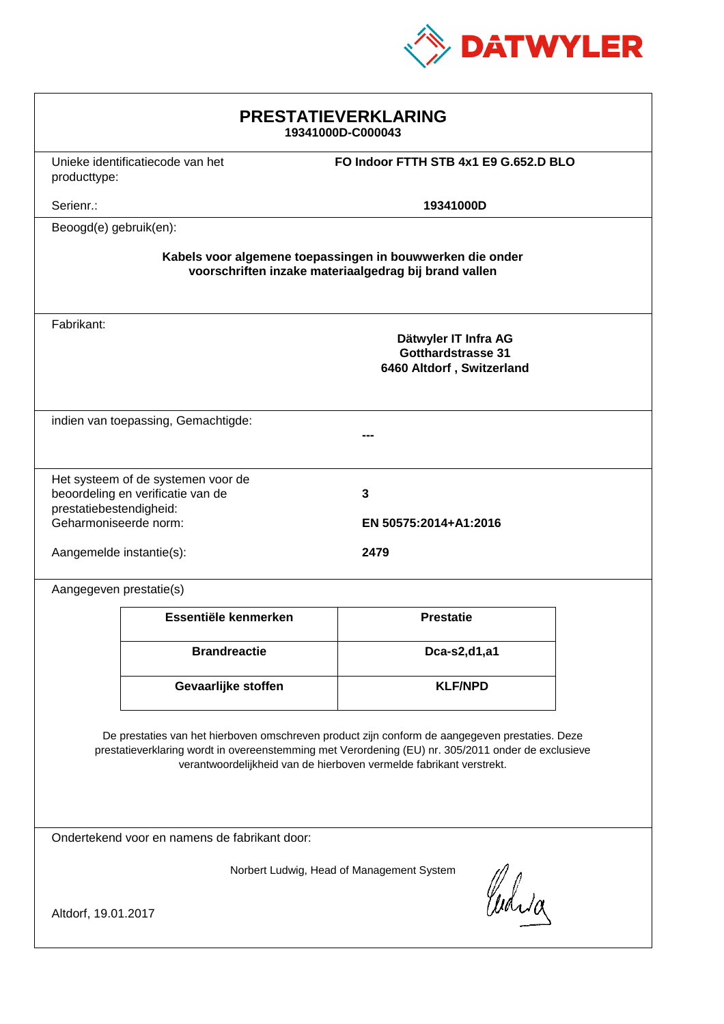

| <b>PRESTATIEVERKLARING</b><br>19341000D-C000043                                                                                                                                                                                                                             |                                     |                                       |  |
|-----------------------------------------------------------------------------------------------------------------------------------------------------------------------------------------------------------------------------------------------------------------------------|-------------------------------------|---------------------------------------|--|
| producttype:                                                                                                                                                                                                                                                                | Unieke identificatiecode van het    | FO Indoor FTTH STB 4x1 E9 G.652.D BLO |  |
| Serienr.:<br>19341000D                                                                                                                                                                                                                                                      |                                     |                                       |  |
| Beoogd(e) gebruik(en):                                                                                                                                                                                                                                                      |                                     |                                       |  |
| Kabels voor algemene toepassingen in bouwwerken die onder<br>voorschriften inzake materiaalgedrag bij brand vallen                                                                                                                                                          |                                     |                                       |  |
| Fabrikant:<br>Dätwyler IT Infra AG<br><b>Gotthardstrasse 31</b><br>6460 Altdorf, Switzerland                                                                                                                                                                                |                                     |                                       |  |
|                                                                                                                                                                                                                                                                             | indien van toepassing, Gemachtigde: |                                       |  |
| Het systeem of de systemen voor de<br>beoordeling en verificatie van de<br>3<br>prestatiebestendigheid:<br>Geharmoniseerde norm:<br>EN 50575:2014+A1:2016                                                                                                                   |                                     |                                       |  |
| Aangemelde instantie(s):                                                                                                                                                                                                                                                    |                                     | 2479                                  |  |
| Aangegeven prestatie(s)                                                                                                                                                                                                                                                     |                                     |                                       |  |
|                                                                                                                                                                                                                                                                             | Essentiële kenmerken                | <b>Prestatie</b>                      |  |
|                                                                                                                                                                                                                                                                             | <b>Brandreactie</b>                 | Dca-s2,d1,a1                          |  |
|                                                                                                                                                                                                                                                                             | Gevaarlijke stoffen                 | <b>KLF/NPD</b>                        |  |
| De prestaties van het hierboven omschreven product zijn conform de aangegeven prestaties. Deze<br>prestatieverklaring wordt in overeenstemming met Verordening (EU) nr. 305/2011 onder de exclusieve<br>verantwoordelijkheid van de hierboven vermelde fabrikant verstrekt. |                                     |                                       |  |
| Ondertekend voor en namens de fabrikant door:                                                                                                                                                                                                                               |                                     |                                       |  |
| Norbert Ludwig, Head of Management System<br>Curia<br>Altdorf, 19.01.2017                                                                                                                                                                                                   |                                     |                                       |  |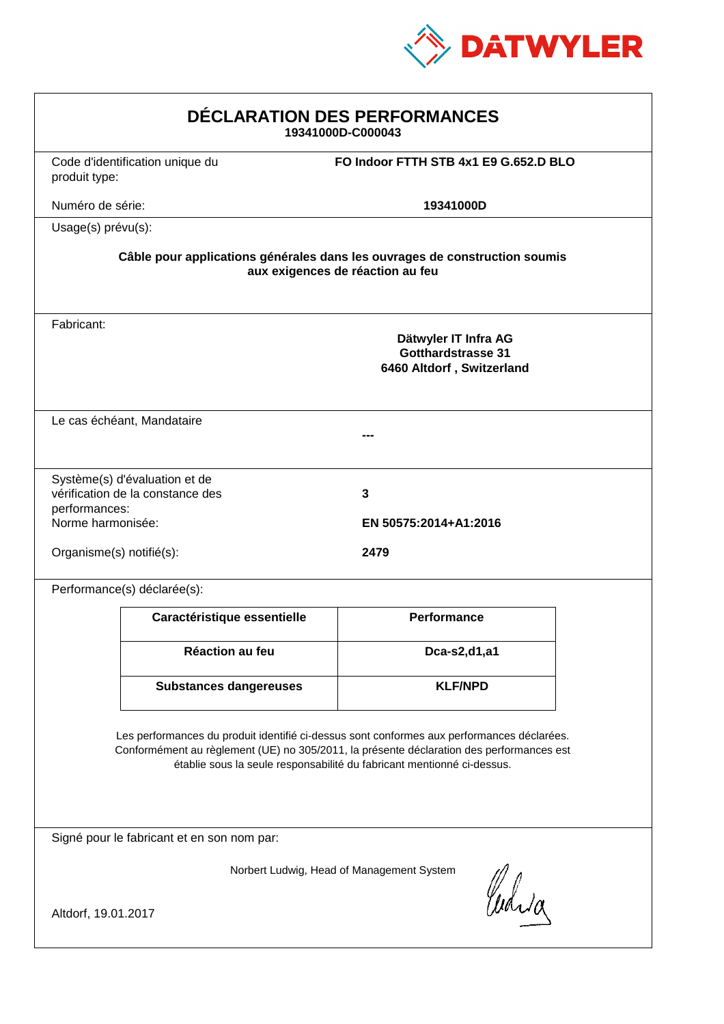

| DÉCLARATION DES PERFORMANCES<br>19341000D-C000043                                                                                                                                                                                                                |                                                                   |                                                                                |  |
|------------------------------------------------------------------------------------------------------------------------------------------------------------------------------------------------------------------------------------------------------------------|-------------------------------------------------------------------|--------------------------------------------------------------------------------|--|
| produit type:                                                                                                                                                                                                                                                    | Code d'identification unique du                                   | FO Indoor FTTH STB 4x1 E9 G.652.D BLO                                          |  |
| Numéro de série:                                                                                                                                                                                                                                                 |                                                                   | 19341000D                                                                      |  |
| Usage(s) prévu(s):                                                                                                                                                                                                                                               |                                                                   |                                                                                |  |
| Câble pour applications générales dans les ouvrages de construction soumis<br>aux exigences de réaction au feu                                                                                                                                                   |                                                                   |                                                                                |  |
| Fabricant:                                                                                                                                                                                                                                                       |                                                                   | Dätwyler IT Infra AG<br><b>Gotthardstrasse 31</b><br>6460 Altdorf, Switzerland |  |
| Le cas échéant, Mandataire                                                                                                                                                                                                                                       |                                                                   |                                                                                |  |
| performances:<br>Norme harmonisée:                                                                                                                                                                                                                               | Système(s) d'évaluation et de<br>vérification de la constance des | 3<br>EN 50575:2014+A1:2016                                                     |  |
| Organisme(s) notifié(s):                                                                                                                                                                                                                                         |                                                                   | 2479                                                                           |  |
|                                                                                                                                                                                                                                                                  | Performance(s) déclarée(s):                                       |                                                                                |  |
|                                                                                                                                                                                                                                                                  | Caractéristique essentielle                                       | Performance                                                                    |  |
|                                                                                                                                                                                                                                                                  | Réaction au feu                                                   | Dca-s2,d1,a1                                                                   |  |
|                                                                                                                                                                                                                                                                  | <b>Substances dangereuses</b>                                     | <b>KLF/NPD</b>                                                                 |  |
| Les performances du produit identifié ci-dessus sont conformes aux performances déclarées.<br>Conformément au règlement (UE) no 305/2011, la présente déclaration des performances est<br>établie sous la seule responsabilité du fabricant mentionné ci-dessus. |                                                                   |                                                                                |  |
| Signé pour le fabricant et en son nom par:                                                                                                                                                                                                                       |                                                                   |                                                                                |  |
| Norbert Ludwig, Head of Management System<br>Curia                                                                                                                                                                                                               |                                                                   |                                                                                |  |
| Altdorf, 19.01.2017                                                                                                                                                                                                                                              |                                                                   |                                                                                |  |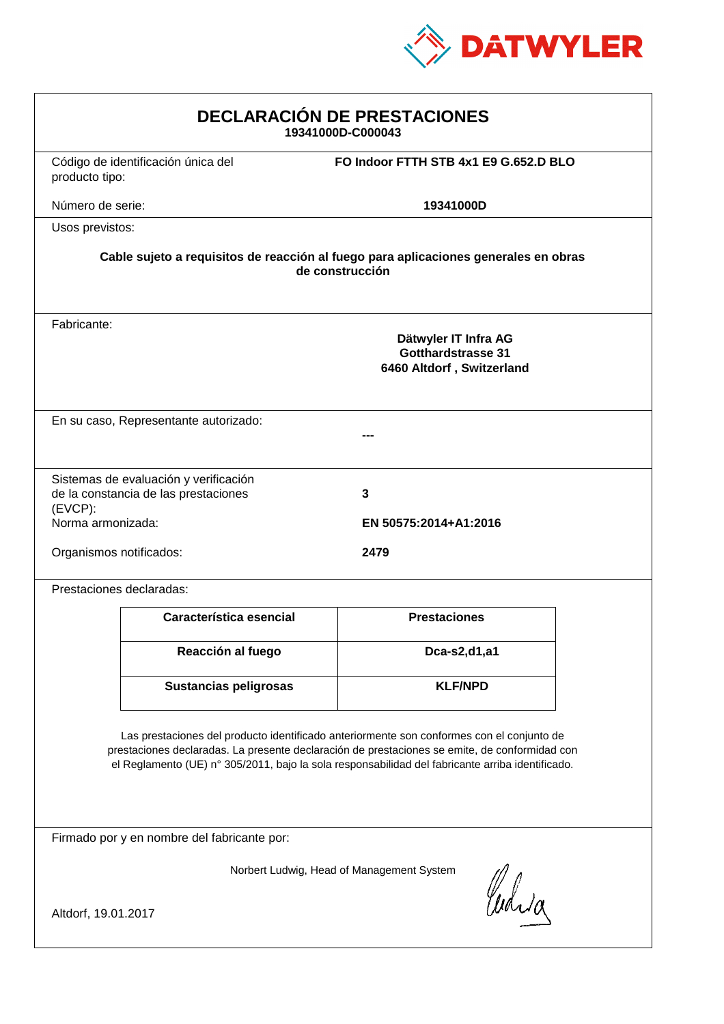

| <b>DECLARACIÓN DE PRESTACIONES</b><br>19341000D-C000043                                                                                                                                                                                                                                        |                                                                               |                                       |  |
|------------------------------------------------------------------------------------------------------------------------------------------------------------------------------------------------------------------------------------------------------------------------------------------------|-------------------------------------------------------------------------------|---------------------------------------|--|
| producto tipo:                                                                                                                                                                                                                                                                                 | Código de identificación única del                                            | FO Indoor FTTH STB 4x1 E9 G.652.D BLO |  |
| Número de serie:                                                                                                                                                                                                                                                                               |                                                                               | 19341000D                             |  |
| Usos previstos:                                                                                                                                                                                                                                                                                |                                                                               |                                       |  |
| Cable sujeto a requisitos de reacción al fuego para aplicaciones generales en obras<br>de construcción                                                                                                                                                                                         |                                                                               |                                       |  |
| Fabricante:<br>Dätwyler IT Infra AG<br><b>Gotthardstrasse 31</b><br>6460 Altdorf, Switzerland                                                                                                                                                                                                  |                                                                               |                                       |  |
| En su caso, Representante autorizado:                                                                                                                                                                                                                                                          |                                                                               |                                       |  |
| (EVCP):<br>Norma armonizada:                                                                                                                                                                                                                                                                   | Sistemas de evaluación y verificación<br>de la constancia de las prestaciones | 3<br>EN 50575:2014+A1:2016            |  |
| Organismos notificados:                                                                                                                                                                                                                                                                        |                                                                               | 2479                                  |  |
| Prestaciones declaradas:                                                                                                                                                                                                                                                                       |                                                                               |                                       |  |
|                                                                                                                                                                                                                                                                                                | Característica esencial                                                       | <b>Prestaciones</b>                   |  |
|                                                                                                                                                                                                                                                                                                | Reacción al fuego                                                             | Dca-s2,d1,a1                          |  |
|                                                                                                                                                                                                                                                                                                | <b>Sustancias peligrosas</b>                                                  | <b>KLF/NPD</b>                        |  |
| Las prestaciones del producto identificado anteriormente son conformes con el conjunto de<br>prestaciones declaradas. La presente declaración de prestaciones se emite, de conformidad con<br>el Reglamento (UE) nº 305/2011, bajo la sola responsabilidad del fabricante arriba identificado. |                                                                               |                                       |  |
| Firmado por y en nombre del fabricante por:                                                                                                                                                                                                                                                    |                                                                               |                                       |  |
| Norbert Ludwig, Head of Management System<br>Curia                                                                                                                                                                                                                                             |                                                                               |                                       |  |
| Altdorf, 19.01.2017                                                                                                                                                                                                                                                                            |                                                                               |                                       |  |